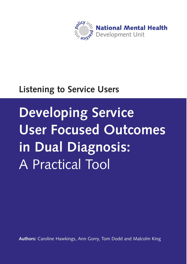

### **Listening to Service Users**

# **Developing Service User Focused Outcomes in Dual Diagnosis:**  A Practical Tool

**Authors:** Caroline Hawkings, Ann Gorry, Tom Dodd and Malcolm King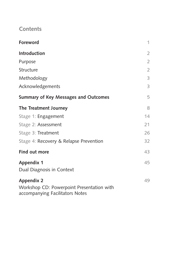### **Contents**

| Foreword                                                                                          | 1              |
|---------------------------------------------------------------------------------------------------|----------------|
| <b>Introduction</b>                                                                               | $\overline{2}$ |
| Purpose                                                                                           | $\overline{2}$ |
| Structure                                                                                         | $\overline{2}$ |
| Methodology                                                                                       | 3              |
| Acknowledgements                                                                                  | 3              |
| <b>Summary of Key Messages and Outcomes</b>                                                       | 5              |
| The Treatment Journey                                                                             | 8              |
| Stage 1: Engagement                                                                               | 14             |
| Stage 2: Assessment                                                                               | 21             |
| Stage 3: Treatment                                                                                | 26             |
| Stage 4: Recovery & Relapse Prevention                                                            | 32             |
| Find out more                                                                                     | 43             |
| <b>Appendix 1</b><br>Dual Diagnosis in Context                                                    | 45             |
| <b>Appendix 2</b><br>Workshop CD: Powerpoint Presentation with<br>accompanying Facilitators Notes | 49             |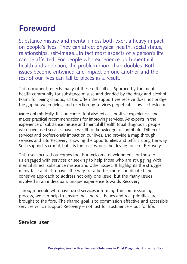### **Foreword**

Substance misuse and mental illness both exert a heavy impact on people's lives. They can affect physical health, social status, relationships, self-image...in fact most aspects of a person's life can be affected. For people who experience both mental ill health and addiction, the problem more than doubles. Both issues become entwined and impact on one another and the rest of our lives can fall to pieces as a result.

This document reflects many of these difficulties. Spurned by the mental health community for substance misuse and derided by the drug and alcohol teams for being chaotic, all too often the support we receive does not bridge the gap between fields, and rejection by services perpetuates low self-esteem.

More optimistically, this outcomes tool also reflects positive experiences and makes practical recommendations for improving services. As experts in the experience of substance misuse and mental ill health (dual diagnosis), people who have used services have a wealth of knowledge to contribute. Different services and professionals impact on our lives, and provide a map through services and into Recovery, showing the opportunities and pitfalls along the way. Such support is crucial, but it is the user, who is the driving force of Recovery.

This user focused outcomes tool is a welcome development for those of us engaged with services or seeking to help those who are struggling with mental illness, substance misuse and other issues. It highlights the struggle many face and also paves the way for a better, more coordinated and cohesive approach to address not only one issue, but the many issues involved in an individual's unique experience towards Recovery.

Through people who have used services informing the commissioning process, we can help to ensure that the real issues and real priorities are brought to the fore. The shared goal is to commission effective and accessible services which support Recovery – not just for abstinence – but for life.

### **Service user**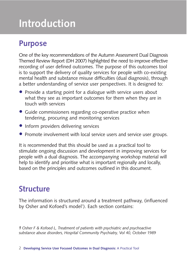## **Introduction**

### **Purpose**

One of the key recommendations of the Autumn Assessment Dual Diagnosis Themed Review Report (DH 2007) highlighted the need to improve effective recording of user defined outcomes. The purpose of this outcomes tool is to support the delivery of quality services for people with co-existing mental health and substance misuse difficulties (dual diagnosis), through a better understanding of service user perspectives. It is designed to:

- Provide a starting point for a dialogue with service users about what they see as important outcomes for them when they are in touch with services
- Guide commissioners regarding co-operative practice when tendering, procuring and monitoring services
- Inform providers delivering services
- Promote involvement with local service users and service user groups.

It is recommended that this should be used as a practical tool to stimulate ongoing discussion and development in improving services for people with a dual diagnosis. The accompanying workshop material will help to identify and prioritise what is important regionally and locally, based on the principles and outcomes outlined in this document.

### **Structure**

The information is structured around a treatment pathway, (influenced by Osher and Kofoed's model<sup>1</sup>). Each section contains:

*1 Osher F & Kofoed L, Treatment of patients with psychiatric and psychoactive substance abuse disorders, Hospital Community Psychiatry, Vol 40, October 1989*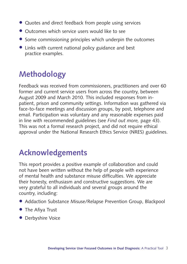- Quotes and direct feedback from people using services
- Outcomes which service users would like to see
- Some commissioning principles which underpin the outcomes
- Links with current national policy guidance and best practice examples.

### **Methodology**

Feedback was received from commissioners, practitioners and over 60 former and current service users from across the country, between August 2009 and March 2010. This included responses from inpatient, prison and community settings. Information was gathered via face-to-face meetings and discussion groups, by post, telephone and email. Participation was voluntary and any reasonable expenses paid in line with recommended guidelines (see *Find out more,* page 43). This was not a formal research project, and did not require ethical approval under the National Research Ethics Service (NRES) guidelines.

### **Acknowledgements**

This report provides a positive example of collaboration and could not have been written without the help of people with experience of mental health and substance misuse difficulties. We appreciate their honesty, enthusiasm and constructive suggestions. We are very grateful to all individuals and several groups around the country, including:

- Addaction Substance Misuse/Relapse Prevention Group, Blackpool
- The Afiya Trust
- Derbyshire Voice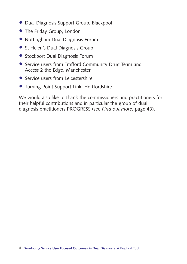- Dual Diagnosis Support Group, Blackpool
- The Friday Group, London
- Nottingham Dual Diagnosis Forum
- St Helen's Dual Diagnosis Group
- Stockport Dual Diagnosis Forum
- Service users from Trafford Community Drug Team and Access 2 the Edge, Manchester
- Service users from Leicestershire
- Turning Point Support Link, Hertfordshire.

We would also like to thank the commissioners and practitioners for their helpful contributions and in particular the group of dual diagnosis practitioners PROGRESS (see *Find out more,* page 43).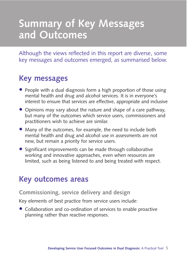## **Summary of Key Messages and Outcomes**

Although the views reflected in this report are diverse, some key messages and outcomes emerged, as summarised below.

### **Key messages**

- People with a dual diagnosis form a high proportion of those using mental health and drug and alcohol services. It is in everyone's interest to ensure that services are effective, appropriate and inclusive
- Opinions may vary about the nature and shape of a care pathway, but many of the outcomes which service users, commissioners and practitioners wish to achieve are similar.
- Many of the outcomes, for example, the need to include both mental health and drug and alcohol use in assessments are not new, but remain a priority for service users.
- Significant improvements can be made through collaborative working and innovative approaches, even when resources are limited, such as being listened to and being treated with respect.

### **Key outcomes areas**

#### **Commissioning, service delivery and design**

Key elements of best practice from service users include:

• Collaboration and co-ordination of services to enable proactive planning rather than reactive responses.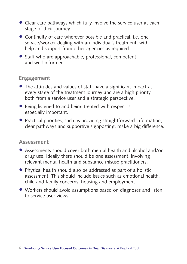- Clear care pathways which fully involve the service user at each stage of their journey.
- Continuity of care wherever possible and practical, i.e. one service/worker dealing with an individual's treatment, with help and support from other agencies as required.
- Staff who are approachable, professional, competent and well-informed.

#### **Engagement**

- The attitudes and values of staff have a significant impact at every stage of the treatment journey and are a high priority both from a service user and a strategic perspective.
- Being listened to and being treated with respect is especially important.
- Practical priorities, such as providing straightforward information, clear pathways and supportive signposting, make a big difference.

#### **Assessment**

- Assessments should cover both mental health and alcohol and/or drug use. Ideally there should be one assessment, involving relevant mental health and substance misuse practitioners.
- Physical health should also be addressed as part of a holistic assessment. This should include issues such as emotional health, child and family concerns, housing and employment.
- Workers should avoid assumptions based on diagnoses and listen to service user views.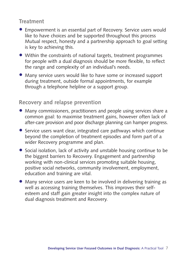### **Treatment**

- Empowerment is an essential part of Recovery. Service users would like to have choices and be supported throughout this process Mutual respect, honesty and a partnership approach to goal setting is key to achieving this.
- Within the constraints of national targets, treatment programmes for people with a dual diagnosis should be more flexible, to reflect the range and complexity of an individual's needs.
- Many service users would like to have some or increased support during treatment, outside formal appointments, for example through a telephone helpline or a support group.

### **Recovery and relapse prevention**

- Many commissioners, practitioners and people using services share a common goal: to maximise treatment gains, however often lack of after-care provision and poor discharge planning can hamper progress.
- Service users want clear, integrated care pathways which continue beyond the completion of treatment episodes and form part of a wider Recovery programme and plan.
- Social isolation, lack of activity and unstable housing continue to be the biggest barriers to Recovery. Engagement and partnership working with non-clinical services promoting suitable housing, positive social networks, community involvement, employment, education and training are vital.
- Many service users are keen to be involved in delivering training as well as accessing training themselves. This improves their selfesteem and staff gain greater insight into the complex nature of dual diagnosis treatment and Recovery.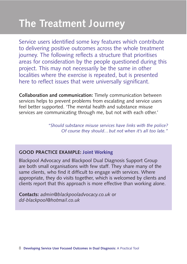## **The Treatment Journey**

Service users identified some key features which contribute to delivering positive outcomes across the whole treatment journey. The following reflects a structure that prioritises areas for consideration by the people questioned during this project. This may not necessarily be the same in other localities where the exercise is repeated, but is presented here to reflect issues that were universally significant.

**Collaboration and communication:** Timely communication between services helps to prevent problems from escalating and service users feel better supported. 'The mental health and substance misuse services are communicating through me, but not with each other.'

> *"Should substance misuse services have links with the police? Of course they should…but not when it's all too late."*

#### **GOOD PRACTICE EXAMPLE: Joint Working**

Blackpool Advocacy and Blackpool Dual Diagnosis Support Group are both small organisations with few staff. They share many of the same clients, who find it difficult to engage with services. Where appropriate, they do visits together, which is welcomed by clients and clients report that this approach is more effective than working alone.

**Contacts:** *admin@blackpooladvocacy.co.uk* or *dd-blackpool@hotmail.co.uk*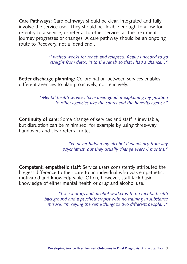**Care Pathways:** Care pathways should be clear, integrated and fully involve the service user. They should be flexible enough to allow for re-entry to a service, or referral to other services as the treatment journey progresses or changes. A care pathway should be an ongoing route to Recovery, not a 'dead end'.

> *"I waited weeks for rehab and relapsed. Really I needed to go straight from detox in to the rehab so that I had a chance…"*

**Better discharge planning:** Co-ordination between services enables different agencies to plan proactively, not reactively.

> *"Mental health services have been good at explaining my position to other agencies like the courts and the benefits agency."*

**Continuity of care:** Some change of services and staff is inevitable, but disruption can be minimised, for example by using three-way handovers and clear referral notes.

> *"I've never hidden my alcohol dependency from any psychiatrist, but they usually change every 6 months."*

**Competent, empathetic staff:** Service users consistently attributed the biggest difference to their care to an individual who was empathetic, motivated and knowledgeable. Often, however, staff lack basic knowledge of either mental health or drug and alcohol use.

> *"I see a drugs and alcohol worker with no mental health background and a psychotherapist with no training in substance misuse. I'm saying the same things to two different people…"*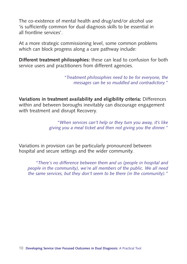The co-existence of mental health and drug/and/or alcohol use 'is sufficiently common for dual diagnosis skills to be essential in all frontline services'.

At a more strategic commissioning level, some common problems which can block progress along a care pathway include:

**Different treatment philosophies:** these can lead to confusion for both service users and practitioners from different agencies.

> *"Treatment philosophies need to be for everyone, the messages can be so muddled and contradictory."*

**Variations in treatment availability and eligibility criteria:** Differences within and between boroughs inevitably can discourage engagement with treatment and disrupt Recovery.

> *"When services can't help or they turn you away, it's like giving you a meal ticket and then not giving you the dinner."*

Variations in provision can be particularly pronounced between hospital and secure settings and the wider community.

*"There's no difference between them and us (people in hospital and people in the community), we're all members of the public. We all need the same services, but they don't seem to be there (in the community)."*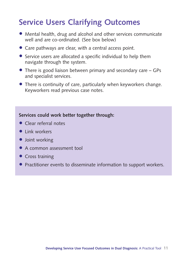### **Service Users Clarifying Outcomes**

- Mental health, drug and alcohol and other services communicate well and are co-ordinated. (See box below)
- Care pathways are clear, with a central access point.
- Service users are allocated a specific individual to help them navigate through the system.
- There is good liaison between primary and secondary care GPs and specialist services.
- There is continuity of care, particularly when keyworkers change. Keyworkers read previous case notes.

#### **Services could work better together through:**

- Clear referral notes
- **•** Link workers
- Joint working
- A common assessment tool
- Cross training
- Practitioner events to disseminate information to support workers.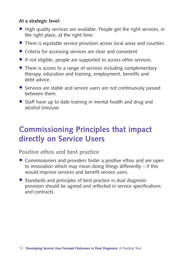#### **At a strategic level:**

- High quality services are available. People get the right services, in the right place, at the right time.
- There is equitable service provision across local areas and counties.
- Criteria for accessing services are clear and consistent.
- If not eligible, people are supported to access other services.
- There is access to a range of services including complementary therapy, education and training, employment, benefits and debt advice.
- Services are stable and service users are not continuously passed between them.
- Staff have up to date training in mental health and drug and alcohol (mis)use.

### **Commissioning Principles that impact directly on Service Users**

**Positive ethos and best practice**

- Commissioners and providers foster a positive ethos and are open to innovation which may mean doing things differently – if this would improve services and benefit service users.
- Standards and principles of best practice in dual diagnosis provision should be agreed and reflected in service specifications and contracts.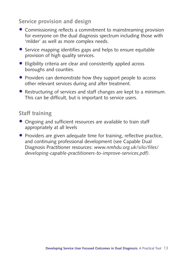### **Service provision and design**

- Commissioning reflects a commitment to mainstreaming provision for everyone on the dual diagnosis spectrum including those with 'milder' as well as more complex needs.
- Service mapping identifies gaps and helps to ensure equitable provision of high quality services.
- Eligibility criteria are clear and consistently applied across boroughs and counties.
- Providers can demonstrate how they support people to access other relevant services during and after treatment.
- Restructuring of services and staff changes are kept to a minimum. This can be difficult, but is important to service users.

### **Staff training**

- Ongoing and sufficient resources are available to train staff appropriately at all levels
- Providers are given adequate time for training, reflective practice, and continuing professional development (see Capable Dual Diagnosis Practitioner resources: *www.nmhdu.org.uk/silo/files/ developing-capable-practitioners-to-improve-services.pdf)*.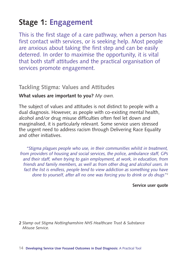### **Stage 1: Engagement**

This is the first stage of a care pathway, when a person has first contact with services, or is seeking help. Most people are anxious about taking the first step and can be easily deterred. In order to maximise the opportunity, it is vital that both staff attitudes and the practical organisation of services promote engagement.

### **Tackling Stigma: Values and Attitudes**

#### **What values are important to you?** *My own.*

The subject of values and attitudes is not distinct to people with a dual diagnosis. However, as people with co-existing mental health, alcohol and/or drug misuse difficulties often feel let down and marginalised, it is particularly relevant. Some service users stressed the urgent need to address racism through Delivering Race Equality and other initiatives.

*"Stigma plagues people who use, in their communities whilst in treatment, from providers of housing and social services, the police, ambulance staff, GPs and their staff, when trying to gain employment, at work, in education, from friends and family members, as well as from other drug and alcohol users. In fact the list is endless, people tend to view addiction as something you have done to yourself, after all no one was forcing you to drink or do drugs"*<sup>2</sup>

#### **Service user quote**

*2 Stamp out Stigma Nottinghamshire NHS Healthcare Trust & Substance Misuse Service.*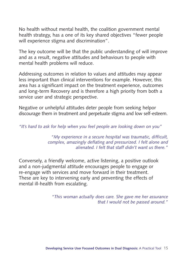No health without mental health, the coalition government mental health strategy, has a one of its key shared objectives "fewer people will experience stigma and discrimination".

The key outcome will be that the public understanding of will improve and as a result, negative attitudes and behaviours to people with mental health problems will reduce.

Addressing outcomes in relation to values and attitudes may appear less important than clinical interventions for example. However, this area has a significant impact on the treatment experience, outcomes and long-term Recovery and is therefore a high priority from both a service user and strategic perspective.

Negative or unhelpful attitudes deter people from seeking helpor discourage them in treatment and perpetuate stigma and low self-esteem.

*"It's hard to ask for help when you feel people are looking down on you"*

*"My experience in a secure hospital was traumatic, difficult, complex, amazingly deflating and pressurized. I felt alone and alienated. I felt that staff didn't want us there."*

Conversely, a friendly welcome, active listening, a positive outlook and a non-judgmental attitude encourages people to engage or re-engage with services and move forward in their treatment. These are key to intervening early and preventing the effects of mental ill-health from escalating.

> *"This woman actually does care. She gave me her assurance that I would not be passed around."*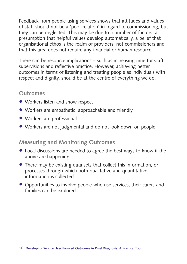Feedback from people using services shows that attitudes and values of staff should not be a 'poor relation' in regard to commissioning, but they can be neglected. This may be due to a number of factors: a presumption that helpful values develop automatically, a belief that organisational ethos is the realm of providers, not commissioners and that this area does not require any financial or human resource.

There can be resource implications – such as increasing time for staff supervisions and reflective practice. However, achieving better outcomes in terms of listening and treating people as individuals with respect and dignity, should be at the centre of everything we do.

### **Outcomes**

- Workers listen and show respect
- Workers are empathetic, approachable and friendly
- Workers are professional
- Workers are not judgmental and do not look down on people.

### **Measuring and Monitoring Outcomes**

- Local discussions are needed to agree the best ways to know if the above are happening.
- There may be existing data sets that collect this information, or processes through which both qualitative and quantitative information is collected.
- Opportunities to involve people who use services, their carers and families can be explored.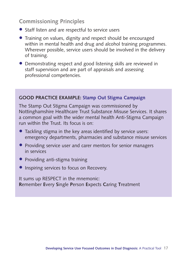### **Commissioning Principles**

- Staff listen and are respectful to service users
- Training on values, dignity and respect should be encouraged within in mental health and drug and alcohol training programmes. Wherever possible, service users should be involved in the delivery of training.
- Demonstrating respect and good listening skills are reviewed in staff supervision and are part of appraisals and assessing professional competencies.

#### **GOOD PRACTICE EXAMPLE: Stamp Out Stigma Campaign**

The Stamp Out Stigma Campaign was commissioned by Nottinghamshire Healthcare Trust Substance Misuse Services. It shares a common goal with the wider mental health Anti-Stigma Campaign run within the Trust. Its focus is on:

- Tackling stigma in the key areas identified by service users: emergency departments, pharmacies and substance misuse services
- Providing service user and carer mentors for senior managers in services
- Providing anti-stigma training
- **Inspiring services to focus on Recovery.**

It sums up RESPECT in the mnemonic: **R**emember **E**very **S**ingle **P**erson **E**xpects **C**aring **T**reatment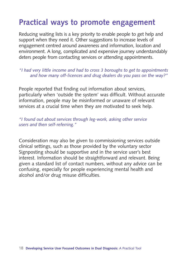### **Practical ways to promote engagement**

Reducing waiting lists is a key priority to enable people to get help and support when they need it. Other suggestions to increase levels of engagement centred around awareness and information, location and environment. A long, complicated and expensive journey understandably deters people from contacting services or attending appointments.

#### *"I had very little income and had to cross 3 boroughs to get to appointments and how many off-licences and drug dealers do you pass on the way?"*

People reported that finding out information about services, particularly when 'outside the system' was difficult. Without accurate information, people may be misinformed or unaware of relevant services at a crucial time when they are motivated to seek help.

#### *"I found out about services through leg-work, asking other service users and then self-referring."*

Consideration may also be given to commissioning services outside clinical settings, such as those provided by the voluntary sector Signposting should be supportive and in the service user's best interest. Information should be straightforward and relevant. Being given a standard list of contact numbers, without any advice can be confusing, especially for people experiencing mental health and alcohol and/or drug misuse difficulties.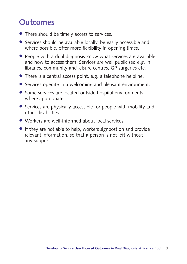### **Outcomes**

- There should be timely access to services.
- Services should be available locally, be easily accessible and where possible, offer more flexibility in opening times.
- People with a dual diagnosis know what services are available and how to access them. Services are well publicised e.g. in libraries, community and leisure centres, GP surgeries etc.
- There is a central access point, e.g. a telephone helpline.
- Services operate in a welcoming and pleasant environment.
- Some services are located outside hospital environments where appropriate.
- Services are physically accessible for people with mobility and other disabilities.
- Workers are well-informed about local services.
- If they are not able to help, workers signpost on and provide relevant information, so that a person is not left without any support.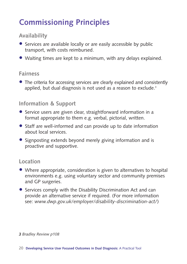### **Commissioning Principles**

### **Availability**

- Services are available locally or are easily accessible by public transport, with costs reimbursed.
- Waiting times are kept to a minimum, with any delays explained.

#### **Fairness**

• The criteria for accessing services are clearly explained and consistently applied, but dual diagnosis is not used as a reason to exclude.<sup>3</sup>

### **Information & Support**

- Service users are given clear, straightforward information in a format appropriate to them e.g. verbal, pictorial, written.
- Staff are well-informed and can provide up to date information about local services.
- Signposting extends beyond merely giving information and is proactive and supportive.

### **Location**

- Where appropriate, consideration is given to alternatives to hospital environments e.g. using voluntary sector and community premises and GP surgeries.
- Services comply with the Disability Discrimination Act and can provide an alternative service if required. (For more information see: *www.dwp.gov.uk/employer/disability-discrimination-act/*)

#### *3 Bradley Review p108*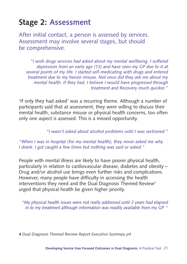### **Stage 2: Assessment**

After initial contact, a person is assessed by services. Assessment may involve several stages, but should be comprehensive.

*"I wish drugs services had asked about my mental wellbeing. I suffered depression from an early age (13) and have seen my GP due to it at several points of my life. I started self-medicating with drugs and entered treatment due to my heroin misuse. Not once did they ask me about my mental health. If they had, I believe I would have progressed through treatment and Recovery much quicker."*

'If only they had asked' was a recurring theme. Although a number of participants said that at assessment, they were willing to discuss their mental health, substance misuse or physical health concerns, too often only one aspect is assessed. This is a missed opportunity.

*"I wasn't asked about alcohol problems until I was sectioned."*

*"When I was in hospital (for my mental health), they never asked me why I drank. I got caught a few times but nothing was said or asked."*

People with mental illness are likely to have poorer physical health, particularly in relation to cardiovascular disease, diabetes and obesity – Drug and/or alcohol use brings even further risks and complications. However, many people have difficulty in accessing the health interventions they need and the Dual Diagnosis Themed Review<sup>4</sup> urged that physical health be given higher priority.

*"My physical health issues were not really addressed until 2 years had elapsed in to my treatment although information was readily available from my GP. "*

*4 Dual Diagnosis Themed Review Report Executive Summary p4*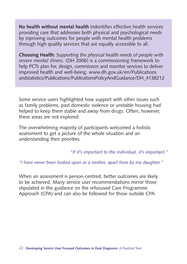**No health without mental health** indentifies effective health services providing care that addresses both physical and psychological needs by inproving outcomes for people with mental health problems through high quality services that are equally accessible to all.

**Choosing Health:** *Supporting the physical health needs of people with severe mental illness.* (DH 2006) is a commissioning framework to help PCTs plan for, design, commission and monitor services to deliver improved health and well-being. www.dh.gov.uk/en/Publications andstatistics/Publications/PublicationsPolicyAndGuidance/DH\_4138212

Some service users highlighted how support with other issues such as family problems, past domestic violence or unstable housing had helped to keep them stable and away from drugs. Often, however, these areas are not explored.

The overwhelming majority of participants welcomed a holistic assessment to get a picture of the whole situation and an understanding their priorities.

*"If it's important to the individual, it's important."* 

*"I have never been looked upon as a mother, apart from by my daughter."* 

When an assessment is person-centred, better outcomes are likely to be achieved. Many service user recommendations mirror those stipulated in the guidance on the refocused Care Programme Approach (CPA) and can also be followed for those outside CPA.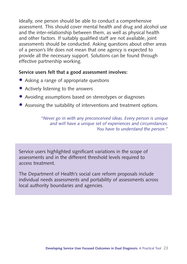Ideally, one person should be able to conduct a comprehensive assessment. This should cover mental health and drug and alcohol use and the inter-relationship between them, as well as physical health and other factors. If suitably qualified staff are not available, joint assessments should be conducted. Asking questions about other areas of a person's life does not mean that one agency is expected to provide all the necessary support. Solutions can be found through effective partnership working.

#### **Service users felt that a good assessment involves:**

- Asking a range of appropriate questions
- Actively listening to the answers
- Avoiding assumptions based on stereotypes or diagnoses
- Assessing the suitability of interventions and treatment options.

*"Never go in with any preconceived ideas. Every person is unique and will have a unique set of experiences and circumstances. You have to understand the person."*

Service users highlighted significant variations in the scope of assessments and in the different threshold levels required to access treatment.

The Department of Health's social care reform proposals include individual needs assessments and portability of assessments across local authority boundaries and agencies.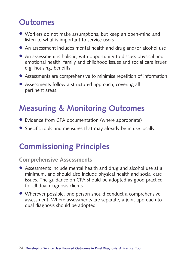### **Outcomes**

- Workers do not make assumptions, but keep an open-mind and listen to what is important to service users
- An assessment includes mental health and drug and/or alcohol use
- An assessment is holistic, with opportunity to discuss physical and emotional health, family and childhood issues and social care issues e.g. housing, benefits
- Assessments are comprehensive to minimise repetition of information
- Assessments follow a structured approach, covering all pertinent areas.

### **Measuring & Monitoring Outcomes**

- Evidence from CPA documentation (where appropriate)
- Specific tools and measures that may already be in use locally.

### **Commissioning Principles**

### **Comprehensive Assessments**

- Assessments include mental health and drug and alcohol use at a minimum, and should also include physical health and social care issues. The guidance on CPA should be adopted as good practice for all dual diagnosis clients
- Wherever possible, one person should conduct a comprehensive assessment. Where assessments are separate, a joint approach to dual diagnosis should be adopted.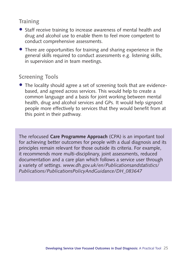### **Training**

- Staff receive training to increase awareness of mental health and drug and alcohol use to enable them to feel more competent to conduct comprehensive assessments.
- There are opportunities for training and sharing experience in the general skills required to conduct assessments e.g. listening skills, in supervision and in team meetings.

### **Screening Tools**

• The locality should agree a set of screening tools that are evidencebased, and agreed across services. This would help to create a common language and a basis for joint working between mental health, drug and alcohol services and GPs. It would help signpost people more effectively to services that they would benefit from at this point in their pathway.

The refocused **Care Programme Approach** (CPA) is an important tool for achieving better outcomes for people with a dual diagnosis and its principles remain relevant for those outside its criteria. For example, it recommends more multi-disciplinary, joint assessments, reduced documentation and a care plan which follows a service user through a variety of settings. *www.dh.gov.uk/en/Publicationsandstatistics/ Publications/PublicationsPolicyAndGuidance/DH\_083647*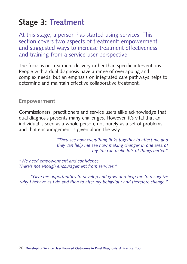### **Stage 3: Treatment**

At this stage, a person has started using services. This section covers two aspects of treatment: empowerment and suggested ways to increase treatment effectiveness and training from a service user perspective.

The focus is on treatment delivery rather than specific interventions. People with a dual diagnosis have a range of overlapping and complex needs, but an emphasis on integrated care pathways helps to determine and maintain effective collaborative treatment.

#### **Empowerment**

Commissioners, practitioners and service users alike acknowledge that dual diagnosis presents many challenges. However, it's vital that an individual is seen as a whole person, not purely as a set of problems, and that encouragement is given along the way.

> *'"They see how everything links together to affect me and they can help me see how making changes in one area of my life can make lots of things better."*

*"We need empowerment and confidence. There's not enough encouragement from services."*

*"Give me opportunities to develop and grow and help me to recognize why I behave as I do and then to alter my behaviour and therefore change."*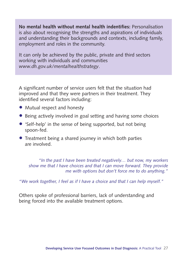**No mental health without mental health indentifies:** Personalisation is also about recognising the strengths and aspirations of individuals and understanding their backgrounds and contexts, including family, employment and roles in the community.

It can only be achieved by the public, private and third sectors working with individuals and communities *www.dh.gov.uk/mentalhealthstrategy*.

A significant number of service users felt that the situation had improved and that they were partners in their treatment. They identified several factors including:

- Mutual respect and honesty
- Being actively involved in goal setting and having some choices
- 'Self-help' in the sense of being supported, but not being spoon-fed.
- Treatment being a shared journey in which both parties are involved.

*"In the past I have been treated negatively… but now, my workers show me that I have choices and that I can move forward. They provide me with options but don't force me to do anything."* 

*"We work together, I feel as if I have a choice and that I can help myself."* 

Others spoke of professional barriers, lack of understanding and being forced into the available treatment options.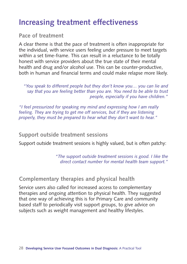### **Increasing treatment effectiveness**

### **Pace of treatment**

A clear theme is that the pace of treatment is often inappropriate for the individual, with service users feeling under pressure to meet targets within a set time-frame. This can result in a reluctance to be totally honest with service providers about the true state of their mental health and drug and/or alcohol use. This can be counter-productive, both in human and financial terms and could make relapse more likely.

*"You speak to different people but they don't know you… you can lie and say that you are feeling better than you are. You need to be able to trust people, especially if you have children."*

*"I feel pressurized for speaking my mind and expressing how I am really feeling. They are trying to get me off services, but if they are listening properly, they must be prepared to hear what they don't want to hear."*

### **Support outside treatment sessions**

Support outside treatment sessions is highly valued, but is often patchy:

*"The support outside treatment sessions is good. I like the direct contact number for mental health team support."* 

### **Complementary therapies and physical health**

Service users also called for increased access to complementary therapies and ongoing attention to physical health. They suggested that one way of achieving this is for Primary Care and community based staff to periodically visit support groups, to give advice on subjects such as weight management and healthy lifestyles.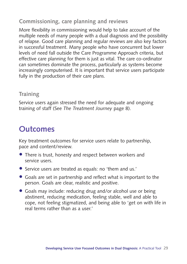### **Commissioning, care planning and reviews**

More flexibility in commissioning would help to take account of the multiple needs of many people with a dual diagnosis and the possibility of relapse. Good care planning and regular reviews are also key factors in successful treatment. Many people who have concurrent but lower levels of need fall outside the Care Programme Approach criteria, but effective care planning for them is just as vital. The care co-ordinator can sometimes dominate the process, particularly as systems become increasingly computerised. It is important that service users participate fully in the production of their care plans.

### **Training**

Service users again stressed the need for adequate and ongoing training of staff (See *The Treatment Journey* page 8).

### **Outcomes**

Key treatment outcomes for service users relate to partnership, pace and content/review.

- There is trust, honesty and respect between workers and service users.
- Service users are treated as equals: no 'them and us.'
- Goals are set in partnership and reflect what is important to the person. Goals are clear, realistic and positive.
- Goals may include: reducing drug and/or alcohol use or being abstinent, reducing medication, feeling stable, well and able to cope, not feeling stigmatized, and being able to 'get on with life in real terms rather than as a user.'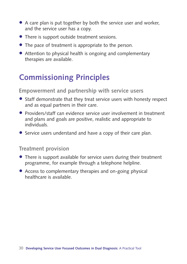- A care plan is put together by both the service user and worker, and the service user has a copy.
- There is support outside treatment sessions.
- The pace of treatment is appropriate to the person.
- Attention to physical health is ongoing and complementary therapies are available.

### **Commissioning Principles**

### **Empowerment and partnership with service users**

- Staff demonstrate that they treat service users with honesty respect and as equal partners in their care.
- Providers/staff can evidence service user involvement in treatment and plans and goals are positive, realistic and appropriate to individuals.
- Service users understand and have a copy of their care plan.

#### **Treatment provision**

- There is support available for service users during their treatment programme, for example through a telephone helpline.
- Access to complementary therapies and on-going physical healthcare is available.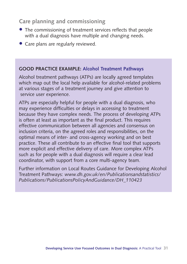### **Care planning and commissioning**

- The commissioning of treatment services reflects that people with a dual diagnosis have multiple and changing needs.
- Care plans are regularly reviewed.

#### **GOOD PRACTICE EXAMPLE: Alcohol Treatment Pathways**

Alcohol treatment pathways (ATPs) are locally agreed templates which map out the local help available for alcohol-related problems at various stages of a treatment journey and give attention to service user experience.

ATPs are especially helpful for people with a dual diagnosis, who may experience difficulties or delays in accessing to treatment because they have complex needs. The process of developing ATPs is often at least as important as the final product. This requires effective communication between all agencies and consensus on inclusion criteria, on the agreed roles and responsibilities, on the optimal means of inter- and cross-agency working and on best practice. These all contribute to an effective final tool that supports more explicit and effective delivery of care. More complex ATPs such as for people with a dual diagnosis will require a clear lead coordinator, with support from a core multi-agency team.

Further information on Local Routes Guidance for Developing Alcohol Treatment Pathways: *www.dh.gov.uk/en/Publicationsandstatistics/ Publications/PublicationsPolicyAndGuidance/DH\_110423*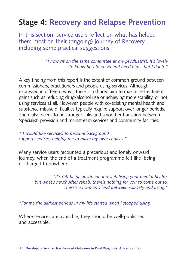### **Stage 4: Recovery and Relapse Prevention**

In this section, service users reflect on what has helped them most on their (ongoing) journey of Recovery including some practical suggestions.

> *"I now sit on the same committee as my psychiatrist. It's lovely to know he's there when I need him…but I don't."*

A key finding from this report is the extent of common ground between commissioners, practitioners and people using services. Although expressed in different ways, there is a shared aim to maximise treatment gains such as reducing drug/alcohol use or achieving more stability, or not using services at all. However, people with co-existing mental health and substance misuse difficulties typically require support over longer periods. There also needs to be stronger links and smoother transition between 'specialist' provision and mainstream services and community facilities.

*"(I would like services) to become background support services, helping me to make my own choices."*

Many service users recounted a precarious and lonely onward journey, when the end of a treatment programme felt like 'being discharged to nowhere.

> *"It's OK being abstinent and stabilising your mental health, but what's next? After rehab, there's nothing for you to come out to. There's a no-man's land between sobriety and using."*

*"For me the darkest periods in my life started when I stopped using.'* 

Where services are available, they should be well-publicised and accessible.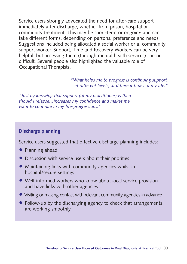Service users strongly advocated the need for after-care support immediately after discharge, whether from prison, hospital or community treatment. This may be short-term or ongoing and can take different forms, depending on personal preference and needs. Suggestions included being allocated a social worker or a, community support worker. Support, Time and Recovery Workers can be very helpful, but accessing them (through mental health services) can be difficult. Several people also highlighted the valuable role of Occupational Therapists.

> *"What helps me to progress is continuing support, at different levels, at different times of my life."*

*"Just by knowing that support (of my practitioner) is there should I relapse…increases my confidence and makes me want to continue in my life-progressions."*

#### **Discharge planning**

Service users suggested that effective discharge planning includes:

- Planning ahead
- Discussion with service users about their priorities
- Maintaining links with community agencies whilst in hospital/secure settings
- Well-informed workers who know about local service provision and have links with other agencies
- Visiting or making contact with relevant community agencies in advance
- Follow-up by the discharging agency to check that arrangements are working smoothly.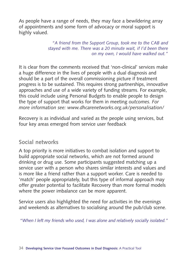As people have a range of needs, they may face a bewildering array of appointments and some form of advocacy or moral support is highly valued.

> *"A friend from the Support Group, took me to the CAB and stayed with me. There was a 20 minute wait, if I'd been there on my own, I would have walked out."*

It is clear from the comments received that 'non-clinical' services make a huge difference in the lives of people with a dual diagnosis and should be a part of the overall commissioning picture if treatment progress is to be sustained. This requires strong partnerships, innovative approaches and use of a wide variety of funding streams. For example, this could include using Personal Budgets to enable people to design the type of support that works for them in meeting *outcomes. For more information see: www.dhcarenetworks.org.uk/personalisation/*

Recovery is as individual and varied as the people using services, but four key areas emerged from service user feedback

### **Social networks**

A top priority is more initiatives to combat isolation and support to build appropriate social networks, which are not formed around drinking or drug use. Some participants suggested matching up a service user with a person who shares similar interests and values and is more like a friend rather than a support worker. Care is needed to 'match' people appropriately, but this type of informal approach may offer greater potential to facilitate Recovery than more formal models where the power imbalance can be more apparent.

Service users also highlighted the need for activities in the evenings and weekends as alternatives to socialising around the pub/club scene.

*"When I left my friends who used, I was alone and relatively socially isolated."*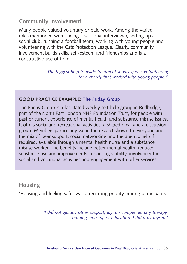### **Community involvement**

Many people valued voluntary or paid work. Among the varied roles mentioned were: being a sessional interviewer, setting up a social club, running a football team, working with young people and volunteering with the Cats Protection League. Clearly, community involvement builds skills, self-esteem and friendships and is a constructive use of time.

> *"The biggest help (outside treatment services) was volunteering for a charity that worked with young people."*

#### **GOOD PRACTICE EXAMPLE: The Friday Group**

The Friday Group is a facilitated weekly self-help group in Redbridge, part of the North East London NHS Foundation Trust, for people with past or current experience of mental health and substance misuse issues. It offers social and recreational activities, a shared meal and a discussion group. Members particularly value the respect shown to everyone and the mix of peer support, social networking and therapeutic help if required, available through a mental health nurse and a substance misuse worker. The benefits include better mental health, reduced substance use and improvements in housing stability, involvement in social and vocational activities and engagement with other services.

#### **Housing**

'Housing and feeling safe' was a recurring priority among participants.

*'I did not get any other support, e.g. on complementary therapy, training, housing or education, I did it by myself.'*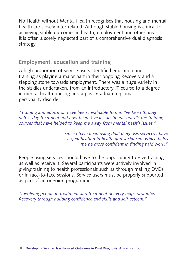No Health without Mental Health recognises that housing and mental health are closely inter-related. Although stable housing is critical to achieving stable outcomes in health, employment and other areas, it is often a sorely neglected part of a comprehensive dual diagnosis strategy.

### **Employment, education and training**

A high proportion of service users identified education and training as playing a major part in their ongoing Recovery and a stepping stone towards employment. There was a huge variety in the studies undertaken, from an introductory IT course to a degree in mental health nursing and a post-graduate diploma personality disorder.

*"Training and education have been invaluable to me. I've been through detox, day treatment and now been 6 years' abstinent, but it's the training courses that have helped to keep me away from mental health issues."*

> *"Since I have been using dual diagnosis services I have a qualification in health and social care which helps me be more confident in finding paid work."*

People using services should have to the opportunity to give training as well as receive it. Several participants were actively involved in giving training to health professionals such as through making DVDs or in face-to-face sessions. Service users must be properly supported as part of an ongoing programme.

*"Involving people in treatment and treatment delivery helps promotes Recovery through building confidence and skills and self-esteem."*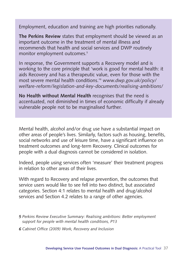Employment, education and training are high priorities nationally.

**The Perkins Review** states that employment should be viewed as an important outcome in the treatment of mental illness and recommends that health and social services and DWP routinely monitor employment outcomes.<sup>5</sup>

In response, the Government supports a Recovery model and is working to the core principle that 'work is good for mental health: it aids Recovery and has a therapeutic value, even for those with the most severe mental health conditions.'6 *www.dwp.gov.uk/policy/ welfare-reform/legislation-and-key-documents/realising-ambitions/*

**No Health without Mental Health** recognises that the need is accentuated, not diminished in times of economic difficulty if already vulnerable people not to be marginalised further.

Mental health, alcohol and/or drug use have a substantial impact on other areas of people's lives. Similarly, factors such as housing, benefits, social networks and use of leisure time, have a significant influence on treatment outcomes and long-term Recovery. Clinical outcomes for people with a dual diagnosis cannot be considered in isolation.

Indeed, people using services often 'measure' their treatment progress in relation to other areas of their lives.

With regard to Recovery and relapse prevention, the outcomes that service users would like to see fell into two distinct, but associated categories. Section 4:1 relates to mental health and drug/alcohol services and Section 4.2 relates to a range of other agencies.

*5 Perkins Review Executive Summary: Realising ambitions: Better employment support for people with mental health conditions, P13*

*6 Cabinet Office (2009) Work, Recovery and Inclusion*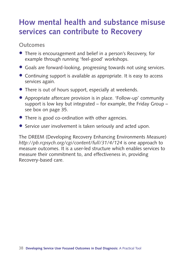### **How mental health and substance misuse services can contribute to Recovery**

### **Outcomes**

- There is encouragement and belief in a person's Recovery, for example through running 'feel-good' workshops.
- Goals are forward-looking, progressing towards not using services.
- Continuing support is available as appropriate. It is easy to access services again.
- There is out of hours support, especially at weekends.
- Appropriate aftercare provision is in place. 'Follow-up' community support is low key but integrated – for example, the Friday Group – see box on page 35.
- There is good co-ordination with other agencies.
- Service user involvement is taken seriously and acted upon.

The DREEM (Developing Recovery Enhancing Environments Measure) *http://pb.rcpsych.org/cgi/content/full/31/4/124* is one approach to measure outcomes. It is a user-led structure which enables services to measure their commitment to, and effectiveness in, providing Recovery-based care.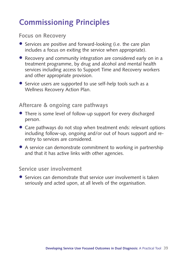### **Commissioning Principles**

**Focus on Recovery**

- Services are positive and forward-looking (i.e. the care plan includes a focus on exiting the service when appropriate).
- Recovery and community integration are considered early on in a treatment programme, by drug and alcohol and mental health services including access to Support Time and Recovery workers and other appropriate provision.
- Service users are supported to use self-help tools such as a Wellness Recovery Action Plan.

### **Aftercare & ongoing care pathways**

- There is some level of follow-up support for every discharged person.
- Care pathways do not stop when treatment ends: relevant options including follow-up, ongoing and/or out of hours support and reentry to services are considered.
- A service can demonstrate commitment to working in partnership and that it has active links with other agencies.

#### **Service user involvement**

• Services can demonstrate that service user involvement is taken seriously and acted upon, at all levels of the organisation.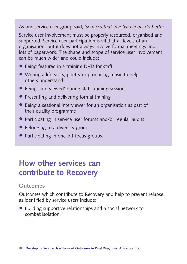As one service user group said, *'services that involve clients do better.'*

Service user involvement must be properly resourced, organised and supported. Service user participation is vital at all levels of an organisation, but it does not always involve formal meetings and lots of paperwork. The shape and scope of service user involvement can be much wider and could include:

- Being featured in a training DVD for staff
- Writing a life-story, poetry or producing music to help others understand
- Being 'interviewed' during staff training sessions
- Presenting and delivering formal training
- Being a sessional interviewer for an organisation as part of their quality programme
- Participating in service user forums and/or regular audits
- Belonging to a diversity group
- Participating in one-off focus groups.

### **How other services can contribute to Recovery**

### **Outcomes**

Outcomes which contribute to Recovery and help to prevent relapse, as identified by service users include:

• Building supportive relationships and a social network to combat isolation.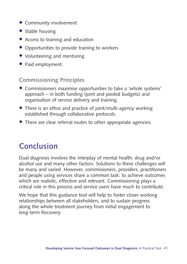- Community involvement
- Stable housing
- Access to training and education
- Opportunities to provide training to workers
- Volunteering and mentoring
- Paid employment.

### **Commissioning Principles**

- Commissioners maximise opportunities to take a 'whole systems' approach – in both funding (joint and pooled budgets) and organisation of service delivery and training.
- There is an ethos and practice of joint/multi-agency working established through collaborative protocols.
- There are clear referral routes to other appropriate agencies.

### **Conclusion**

Dual diagnosis involves the interplay of mental health, drug and/or alcohol use and many other factors. Solutions to these challenges will be many and varied. However, commissioners, providers, practitioners and people using services share a common task: to achieve outcomes which are realistic, effective and relevant. Commissioning plays a critical role in this process and service users have much to contribute.

We hope that this guidance tool will help to foster closer working relationships between all stakeholders, and to sustain progress along the whole treatment journey from initial engagement to long-term Recovery.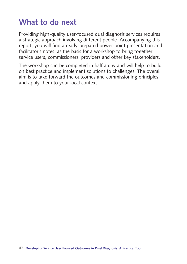### **What to do next**

Providing high-quality user-focused dual diagnosis services requires a strategic approach involving different people. Accompanying this report, you will find a ready-prepared power-point presentation and facilitator's notes, as the basis for a workshop to bring together service users, commissioners, providers and other key stakeholders.

The workshop can be completed in half a day and will help to build on best practice and implement solutions to challenges. The overall aim is to take forward the outcomes and commissioning principles and apply them to your local context.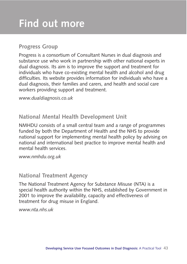### **Progress Group**

Progress is a consortium of Consultant Nurses in dual diagnosis and substance use who work in partnership with other national experts in dual diagnosis. Its aim is to improve the support and treatment for individuals who have co-existing mental health and alcohol and drug difficulties. Its website provides information for individuals who have a dual diagnosis, their families and carers, and health and social care workers providing support and treatment.

*www.dualdiagnosis.co.uk*

### **National Mental Health Development Unit**

NMHDU consists of a small central team and a range of programmes funded by both the Department of Health and the NHS to provide national support for implementing mental health policy by advising on national and international best practice to improve mental health and mental health services.

*www.nmhdu.org.uk*

### **National Treatment Agency**

The National Treatment Agency for Substance Misuse (NTA) is a special health authority within the NHS, established by Government in 2001 to improve the availability, capacity and effectiveness of treatment for drug misuse in England.

*www.nta.nhs.uk*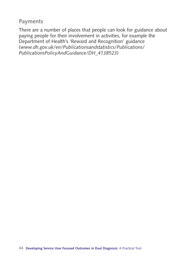### **Payments**

There are a number of places that people can look for guidance about paying people for their involvement in activities, for example the Department of Health's 'Reward and Recognition' guidance (*www.dh.gov.uk/en/Publicationsandstatistics/Publications/ PublicationsPolicyAndGuidance/DH\_4138523*)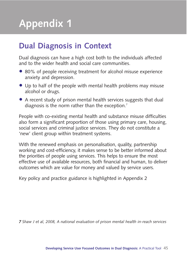## **Appendix 1**

### **Dual Diagnosis in Context**

Dual diagnosis can have a high cost both to the individuals affected and to the wider health and social care communities.

- 80% of people receiving treatment for alcohol misuse experience anxiety and depression.
- Up to half of the people with mental health problems may misuse alcohol or drugs.
- A recent study of prison mental health services suggests that dual diagnosis is the norm rather than the exception.<sup>7</sup>

People with co-existing mental health and substance misuse difficulties also form a significant proportion of those using primary care, housing, social services and criminal justice services. They do not constitute a 'new' client group within treatment systems.

With the renewed emphasis on personalisation, quality, partnership working and cost-efficiency, it makes sense to be better informed about the priorities of people using services. This helps to ensure the most effective use of available resources, both financial and human, to deliver outcomes which are value for money and valued by service users.

Key policy and practice guidance is highlighted in Appendix 2

*7 Shaw J et al, 2008, A national evaluation of prison mental health in-reach services*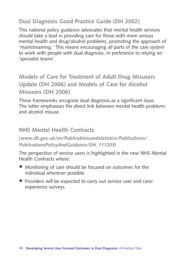### **Dual Diagnosis Good Practice Guide (DH 2002)**

This national policy guidance advocates that mental health services should take a lead in providing care for those with more serious mental health and drug/alcohol problems, promoting the approach of 'mainstreaming.' This means encouraging all parts of the care system to work with people with dual diagnosis, in preference to relying on 'specialist teams'.

**Models of Care for Treatment of Adult Drug Misusers Update (DH 2006) and Models of Care for Alcohol Misusers (DH 2006)**

These frameworks recognise dual diagnosis as a significant issue. The latter emphasises the direct link between mental health problems and alcohol misuse.

### **NHS Mental Health Contracts**

**(www.dh.gov.uk/en/Publicationsandstatistics/Publications/ PublicationsPolicyAndGuidance/DH\_111203)**

The perspective of service users is highlighted in the new NHS Mental Health Contracts where:

- Monitoring of care should be focused on outcomes for the individual wherever possible.
- Providers will be expected to carry out service user and carer experience surveys.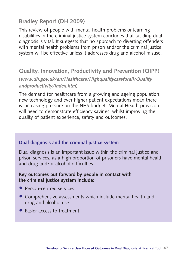### **Bradley Report (DH 2009)**

This review of people with mental health problems or learning disabilities in the criminal justice system concludes that tackling dual diagnosis is vital. It suggests that no approach to diverting offenders with mental health problems from prison and/or the criminal justice system will be effective unless it addresses drug and alcohol misuse.

### **Quality, Innovation, Productivity and Prevention (QIPP)**

**(www.dh.gov.uk/en/Healthcare/Highqualitycareforall/Quality andproductivity/index.htm)**

The demand for healthcare from a growing and ageing population, new technology and ever higher patient expectations mean there is increasing pressure on the NHS budget. Mental Health provision will need to demonstrate efficiency savings, whilst improving the quality of patient experience, safety and outcomes.

#### **Dual diagnosis and the criminal justice system**

Dual diagnosis is an important issue within the criminal justice and prison services, as a high proportion of prisoners have mental health and drug and/or alcohol difficulties.

#### **Key outcomes put forward by people in contact with the criminal justice system include:**

- Person-centred services
- Comprehensive assessments which include mental health and drug and alcohol use
- Easier access to treatment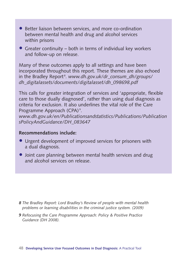- Better liaison between services, and more co-ordination between mental health and drug and alcohol services within prisons
- Greater continuity both in terms of individual key workers and follow-up on release.

Many of these outcomes apply to all settings and have been incorporated throughout this report. These themes are also echoed in the Bradley Report <sup>8</sup> . *www.dh.gov.uk/dr\_consum\_dh/groups/ dh\_digitalassets/documents/digitalasset/dh\_098698.pdf*

This calls for greater integration of services and 'appropriate, flexible care to those dually diagnosed', rather than using dual diagnosis as criteria for exclusion. It also underlines the vital role of the Care Programme Approach (CPA)<sup>9</sup>.

*www.dh.gov.uk/en/Publicationsandstatistics/Publications/Publication sPolicyAndGuidance/DH\_083647*

#### **Recommendations include:**

- Urgent development of improved services for prisoners with a dual diagnosis.
- Joint care planning between mental health services and drug and alcohol services on release.

- *8 The Bradley Report: Lord Bradley's Review of people with mental health problems or learning disabilities in the criminal justice system. (2009)*
- *9 Refocusing the Care Programme Approach: Policy & Positive Practice Guidance (DH 2008).*